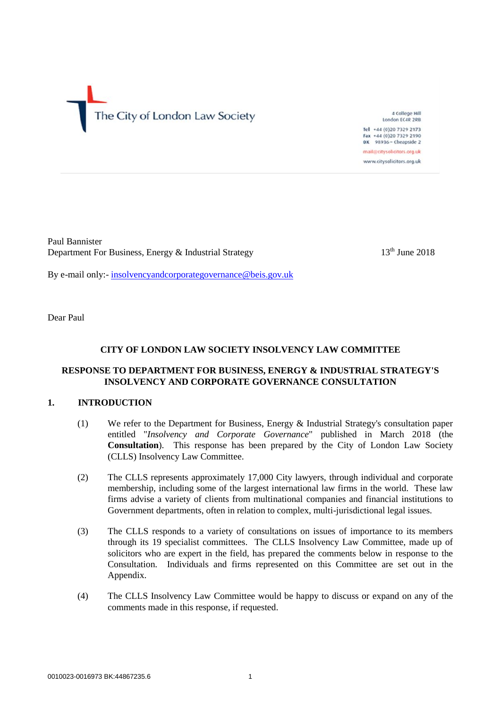The City of London Law Society

4 College Hill London EC4R 2RB tel +44 (0)20 7329 2173 Fax +44 (0)20 7329 2190 DX 98936 - Cheapside 2 mail@citysolicitors.org.uk www.citysolicitors.org.uk

Paul Bannister Department For Business, Energy & Industrial Strategy 13<sup>th</sup> June 2018

By e-mail only:- [insolvencyandcorporategovernance@beis.gov.uk](mailto:insolvencyandcorporategovernance@beis.gov.uk)

Dear Paul

# **CITY OF LONDON LAW SOCIETY INSOLVENCY LAW COMMITTEE**

# **RESPONSE TO DEPARTMENT FOR BUSINESS, ENERGY & INDUSTRIAL STRATEGY'S INSOLVENCY AND CORPORATE GOVERNANCE CONSULTATION**

# **1. INTRODUCTION**

- (1) We refer to the Department for Business, Energy & Industrial Strategy's consultation paper entitled "*Insolvency and Corporate Governance*" published in March 2018 (the **Consultation**). This response has been prepared by the City of London Law Society (CLLS) Insolvency Law Committee.
- (2) The CLLS represents approximately 17,000 City lawyers, through individual and corporate membership, including some of the largest international law firms in the world. These law firms advise a variety of clients from multinational companies and financial institutions to Government departments, often in relation to complex, multi-jurisdictional legal issues.
- (3) The CLLS responds to a variety of consultations on issues of importance to its members through its 19 specialist committees. The CLLS Insolvency Law Committee, made up of solicitors who are expert in the field, has prepared the comments below in response to the Consultation. Individuals and firms represented on this Committee are set out in the Appendix.
- (4) The CLLS Insolvency Law Committee would be happy to discuss or expand on any of the comments made in this response, if requested.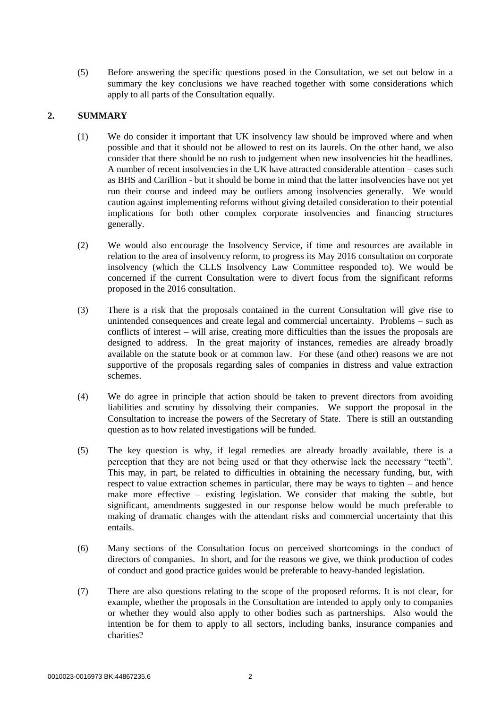(5) Before answering the specific questions posed in the Consultation, we set out below in a summary the key conclusions we have reached together with some considerations which apply to all parts of the Consultation equally.

# **2. SUMMARY**

- (1) We do consider it important that UK insolvency law should be improved where and when possible and that it should not be allowed to rest on its laurels. On the other hand, we also consider that there should be no rush to judgement when new insolvencies hit the headlines. A number of recent insolvencies in the UK have attracted considerable attention – cases such as BHS and Carillion - but it should be borne in mind that the latter insolvencies have not yet run their course and indeed may be outliers among insolvencies generally. We would caution against implementing reforms without giving detailed consideration to their potential implications for both other complex corporate insolvencies and financing structures generally.
- (2) We would also encourage the Insolvency Service, if time and resources are available in relation to the area of insolvency reform, to progress its May 2016 consultation on corporate insolvency (which the CLLS Insolvency Law Committee responded to). We would be concerned if the current Consultation were to divert focus from the significant reforms proposed in the 2016 consultation.
- (3) There is a risk that the proposals contained in the current Consultation will give rise to unintended consequences and create legal and commercial uncertainty. Problems – such as conflicts of interest – will arise, creating more difficulties than the issues the proposals are designed to address. In the great majority of instances, remedies are already broadly available on the statute book or at common law. For these (and other) reasons we are not supportive of the proposals regarding sales of companies in distress and value extraction schemes.
- (4) We do agree in principle that action should be taken to prevent directors from avoiding liabilities and scrutiny by dissolving their companies. We support the proposal in the Consultation to increase the powers of the Secretary of State. There is still an outstanding question as to how related investigations will be funded.
- (5) The key question is why, if legal remedies are already broadly available, there is a perception that they are not being used or that they otherwise lack the necessary "teeth". This may, in part, be related to difficulties in obtaining the necessary funding, but, with respect to value extraction schemes in particular, there may be ways to tighten – and hence make more effective – existing legislation. We consider that making the subtle, but significant, amendments suggested in our response below would be much preferable to making of dramatic changes with the attendant risks and commercial uncertainty that this entails.
- (6) Many sections of the Consultation focus on perceived shortcomings in the conduct of directors of companies. In short, and for the reasons we give, we think production of codes of conduct and good practice guides would be preferable to heavy-handed legislation.
- (7) There are also questions relating to the scope of the proposed reforms. It is not clear, for example, whether the proposals in the Consultation are intended to apply only to companies or whether they would also apply to other bodies such as partnerships. Also would the intention be for them to apply to all sectors, including banks, insurance companies and charities?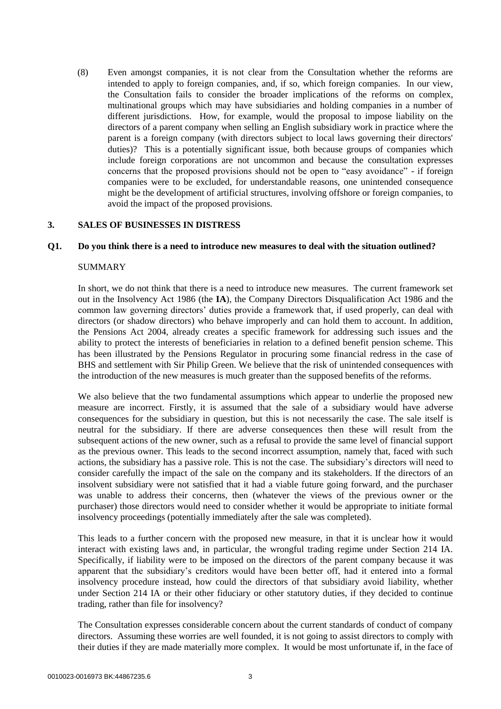(8) Even amongst companies, it is not clear from the Consultation whether the reforms are intended to apply to foreign companies, and, if so, which foreign companies. In our view, the Consultation fails to consider the broader implications of the reforms on complex, multinational groups which may have subsidiaries and holding companies in a number of different jurisdictions. How, for example, would the proposal to impose liability on the directors of a parent company when selling an English subsidiary work in practice where the parent is a foreign company (with directors subject to local laws governing their directors' duties)? This is a potentially significant issue, both because groups of companies which include foreign corporations are not uncommon and because the consultation expresses concerns that the proposed provisions should not be open to "easy avoidance" - if foreign companies were to be excluded, for understandable reasons, one unintended consequence might be the development of artificial structures, involving offshore or foreign companies, to avoid the impact of the proposed provisions.

#### **3. SALES OF BUSINESSES IN DISTRESS**

#### **Q1. Do you think there is a need to introduce new measures to deal with the situation outlined?**

#### SUMMARY

In short, we do not think that there is a need to introduce new measures. The current framework set out in the Insolvency Act 1986 (the **IA**), the Company Directors Disqualification Act 1986 and the common law governing directors' duties provide a framework that, if used properly, can deal with directors (or shadow directors) who behave improperly and can hold them to account. In addition, the Pensions Act 2004, already creates a specific framework for addressing such issues and the ability to protect the interests of beneficiaries in relation to a defined benefit pension scheme. This has been illustrated by the Pensions Regulator in procuring some financial redress in the case of BHS and settlement with Sir Philip Green. We believe that the risk of unintended consequences with the introduction of the new measures is much greater than the supposed benefits of the reforms.

We also believe that the two fundamental assumptions which appear to underlie the proposed new measure are incorrect. Firstly, it is assumed that the sale of a subsidiary would have adverse consequences for the subsidiary in question, but this is not necessarily the case. The sale itself is neutral for the subsidiary. If there are adverse consequences then these will result from the subsequent actions of the new owner, such as a refusal to provide the same level of financial support as the previous owner. This leads to the second incorrect assumption, namely that, faced with such actions, the subsidiary has a passive role. This is not the case. The subsidiary's directors will need to consider carefully the impact of the sale on the company and its stakeholders. If the directors of an insolvent subsidiary were not satisfied that it had a viable future going forward, and the purchaser was unable to address their concerns, then (whatever the views of the previous owner or the purchaser) those directors would need to consider whether it would be appropriate to initiate formal insolvency proceedings (potentially immediately after the sale was completed).

This leads to a further concern with the proposed new measure, in that it is unclear how it would interact with existing laws and, in particular, the wrongful trading regime under Section 214 IA. Specifically, if liability were to be imposed on the directors of the parent company because it was apparent that the subsidiary's creditors would have been better off, had it entered into a formal insolvency procedure instead, how could the directors of that subsidiary avoid liability, whether under Section 214 IA or their other fiduciary or other statutory duties, if they decided to continue trading, rather than file for insolvency?

The Consultation expresses considerable concern about the current standards of conduct of company directors. Assuming these worries are well founded, it is not going to assist directors to comply with their duties if they are made materially more complex. It would be most unfortunate if, in the face of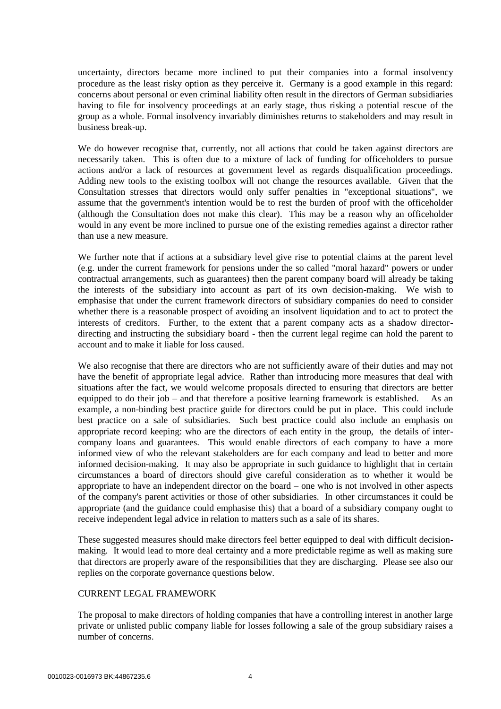uncertainty, directors became more inclined to put their companies into a formal insolvency procedure as the least risky option as they perceive it. Germany is a good example in this regard: concerns about personal or even criminal liability often result in the directors of German subsidiaries having to file for insolvency proceedings at an early stage, thus risking a potential rescue of the group as a whole. Formal insolvency invariably diminishes returns to stakeholders and may result in business break-up.

We do however recognise that, currently, not all actions that could be taken against directors are necessarily taken. This is often due to a mixture of lack of funding for officeholders to pursue actions and/or a lack of resources at government level as regards disqualification proceedings. Adding new tools to the existing toolbox will not change the resources available. Given that the Consultation stresses that directors would only suffer penalties in "exceptional situations", we assume that the government's intention would be to rest the burden of proof with the officeholder (although the Consultation does not make this clear). This may be a reason why an officeholder would in any event be more inclined to pursue one of the existing remedies against a director rather than use a new measure.

We further note that if actions at a subsidiary level give rise to potential claims at the parent level (e.g. under the current framework for pensions under the so called "moral hazard" powers or under contractual arrangements, such as guarantees) then the parent company board will already be taking the interests of the subsidiary into account as part of its own decision-making. We wish to emphasise that under the current framework directors of subsidiary companies do need to consider whether there is a reasonable prospect of avoiding an insolvent liquidation and to act to protect the interests of creditors. Further, to the extent that a parent company acts as a shadow directordirecting and instructing the subsidiary board - then the current legal regime can hold the parent to account and to make it liable for loss caused.

We also recognise that there are directors who are not sufficiently aware of their duties and may not have the benefit of appropriate legal advice. Rather than introducing more measures that deal with situations after the fact, we would welcome proposals directed to ensuring that directors are better equipped to do their job – and that therefore a positive learning framework is established. As an example, a non-binding best practice guide for directors could be put in place. This could include best practice on a sale of subsidiaries. Such best practice could also include an emphasis on appropriate record keeping: who are the directors of each entity in the group, the details of intercompany loans and guarantees. This would enable directors of each company to have a more informed view of who the relevant stakeholders are for each company and lead to better and more informed decision-making. It may also be appropriate in such guidance to highlight that in certain circumstances a board of directors should give careful consideration as to whether it would be appropriate to have an independent director on the board – one who is not involved in other aspects of the company's parent activities or those of other subsidiaries. In other circumstances it could be appropriate (and the guidance could emphasise this) that a board of a subsidiary company ought to receive independent legal advice in relation to matters such as a sale of its shares.

These suggested measures should make directors feel better equipped to deal with difficult decisionmaking. It would lead to more deal certainty and a more predictable regime as well as making sure that directors are properly aware of the responsibilities that they are discharging. Please see also our replies on the corporate governance questions below.

## CURRENT LEGAL FRAMEWORK

The proposal to make directors of holding companies that have a controlling interest in another large private or unlisted public company liable for losses following a sale of the group subsidiary raises a number of concerns.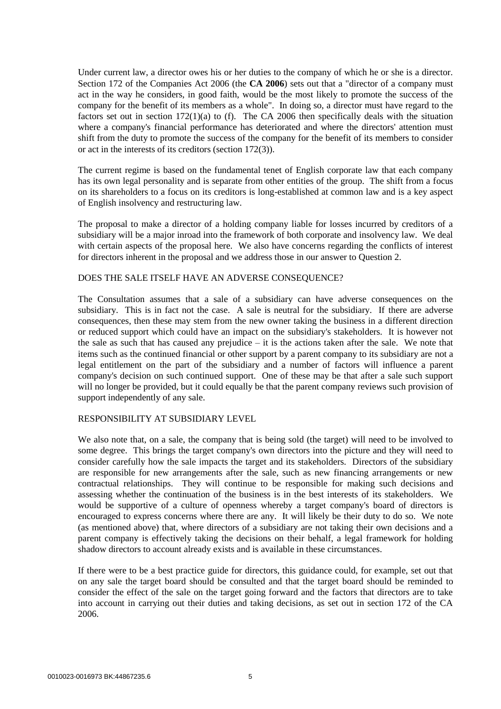Under current law, a director owes his or her duties to the company of which he or she is a director. Section 172 of the Companies Act 2006 (the **CA 2006**) sets out that a "director of a company must act in the way he considers, in good faith, would be the most likely to promote the success of the company for the benefit of its members as a whole". In doing so, a director must have regard to the factors set out in section  $172(1)(a)$  to (f). The CA 2006 then specifically deals with the situation where a company's financial performance has deteriorated and where the directors' attention must shift from the duty to promote the success of the company for the benefit of its members to consider or act in the interests of its creditors (section 172(3)).

The current regime is based on the fundamental tenet of English corporate law that each company has its own legal personality and is separate from other entities of the group. The shift from a focus on its shareholders to a focus on its creditors is long-established at common law and is a key aspect of English insolvency and restructuring law.

The proposal to make a director of a holding company liable for losses incurred by creditors of a subsidiary will be a major inroad into the framework of both corporate and insolvency law. We deal with certain aspects of the proposal here. We also have concerns regarding the conflicts of interest for directors inherent in the proposal and we address those in our answer to Question 2.

## DOES THE SALE ITSELF HAVE AN ADVERSE CONSEQUENCE?

The Consultation assumes that a sale of a subsidiary can have adverse consequences on the subsidiary. This is in fact not the case. A sale is neutral for the subsidiary. If there are adverse consequences, then these may stem from the new owner taking the business in a different direction or reduced support which could have an impact on the subsidiary's stakeholders. It is however not the sale as such that has caused any prejudice  $-$  it is the actions taken after the sale. We note that items such as the continued financial or other support by a parent company to its subsidiary are not a legal entitlement on the part of the subsidiary and a number of factors will influence a parent company's decision on such continued support. One of these may be that after a sale such support will no longer be provided, but it could equally be that the parent company reviews such provision of support independently of any sale.

## RESPONSIBILITY AT SUBSIDIARY LEVEL

We also note that, on a sale, the company that is being sold (the target) will need to be involved to some degree. This brings the target company's own directors into the picture and they will need to consider carefully how the sale impacts the target and its stakeholders. Directors of the subsidiary are responsible for new arrangements after the sale, such as new financing arrangements or new contractual relationships. They will continue to be responsible for making such decisions and assessing whether the continuation of the business is in the best interests of its stakeholders. We would be supportive of a culture of openness whereby a target company's board of directors is encouraged to express concerns where there are any. It will likely be their duty to do so. We note (as mentioned above) that, where directors of a subsidiary are not taking their own decisions and a parent company is effectively taking the decisions on their behalf, a legal framework for holding shadow directors to account already exists and is available in these circumstances.

If there were to be a best practice guide for directors, this guidance could, for example, set out that on any sale the target board should be consulted and that the target board should be reminded to consider the effect of the sale on the target going forward and the factors that directors are to take into account in carrying out their duties and taking decisions, as set out in section 172 of the CA 2006.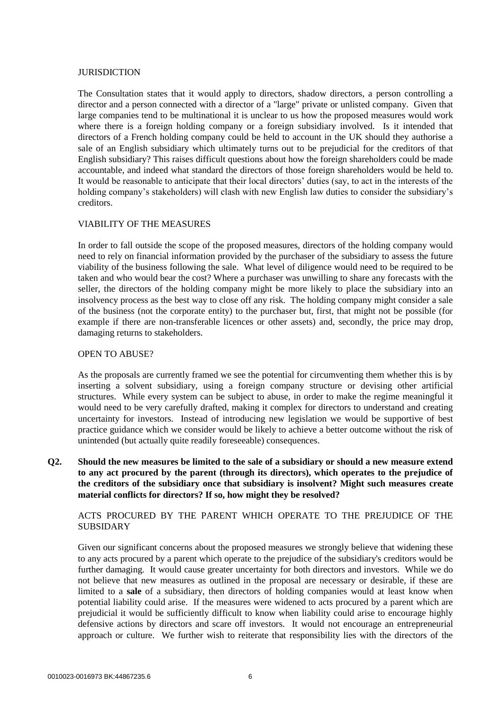#### JURISDICTION

The Consultation states that it would apply to directors, shadow directors, a person controlling a director and a person connected with a director of a "large" private or unlisted company. Given that large companies tend to be multinational it is unclear to us how the proposed measures would work where there is a foreign holding company or a foreign subsidiary involved. Is it intended that directors of a French holding company could be held to account in the UK should they authorise a sale of an English subsidiary which ultimately turns out to be prejudicial for the creditors of that English subsidiary? This raises difficult questions about how the foreign shareholders could be made accountable, and indeed what standard the directors of those foreign shareholders would be held to. It would be reasonable to anticipate that their local directors' duties (say, to act in the interests of the holding company's stakeholders) will clash with new English law duties to consider the subsidiary's creditors.

# VIABILITY OF THE MEASURES

In order to fall outside the scope of the proposed measures, directors of the holding company would need to rely on financial information provided by the purchaser of the subsidiary to assess the future viability of the business following the sale. What level of diligence would need to be required to be taken and who would bear the cost? Where a purchaser was unwilling to share any forecasts with the seller, the directors of the holding company might be more likely to place the subsidiary into an insolvency process as the best way to close off any risk. The holding company might consider a sale of the business (not the corporate entity) to the purchaser but, first, that might not be possible (for example if there are non-transferable licences or other assets) and, secondly, the price may drop, damaging returns to stakeholders.

#### OPEN TO ABUSE?

As the proposals are currently framed we see the potential for circumventing them whether this is by inserting a solvent subsidiary, using a foreign company structure or devising other artificial structures. While every system can be subject to abuse, in order to make the regime meaningful it would need to be very carefully drafted, making it complex for directors to understand and creating uncertainty for investors. Instead of introducing new legislation we would be supportive of best practice guidance which we consider would be likely to achieve a better outcome without the risk of unintended (but actually quite readily foreseeable) consequences.

**Q2. Should the new measures be limited to the sale of a subsidiary or should a new measure extend to any act procured by the parent (through its directors), which operates to the prejudice of the creditors of the subsidiary once that subsidiary is insolvent? Might such measures create material conflicts for directors? If so, how might they be resolved?** 

ACTS PROCURED BY THE PARENT WHICH OPERATE TO THE PREJUDICE OF THE SUBSIDARY

Given our significant concerns about the proposed measures we strongly believe that widening these to any acts procured by a parent which operate to the prejudice of the subsidiary's creditors would be further damaging. It would cause greater uncertainty for both directors and investors. While we do not believe that new measures as outlined in the proposal are necessary or desirable, if these are limited to a **sale** of a subsidiary, then directors of holding companies would at least know when potential liability could arise. If the measures were widened to acts procured by a parent which are prejudicial it would be sufficiently difficult to know when liability could arise to encourage highly defensive actions by directors and scare off investors. It would not encourage an entrepreneurial approach or culture. We further wish to reiterate that responsibility lies with the directors of the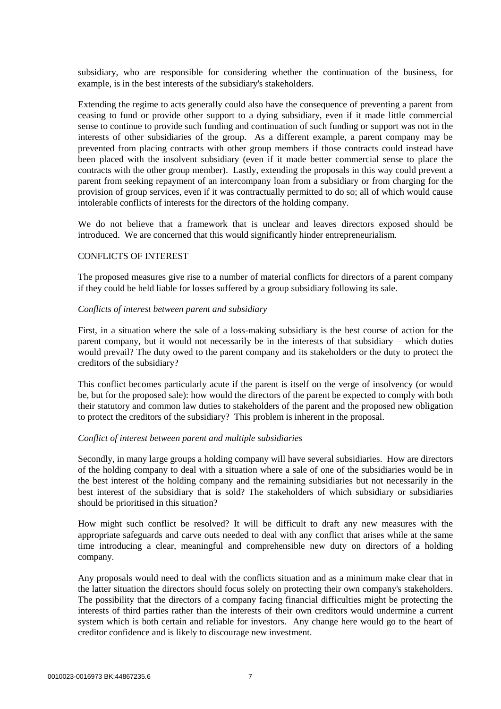subsidiary, who are responsible for considering whether the continuation of the business, for example, is in the best interests of the subsidiary's stakeholders.

Extending the regime to acts generally could also have the consequence of preventing a parent from ceasing to fund or provide other support to a dying subsidiary, even if it made little commercial sense to continue to provide such funding and continuation of such funding or support was not in the interests of other subsidiaries of the group. As a different example, a parent company may be prevented from placing contracts with other group members if those contracts could instead have been placed with the insolvent subsidiary (even if it made better commercial sense to place the contracts with the other group member). Lastly, extending the proposals in this way could prevent a parent from seeking repayment of an intercompany loan from a subsidiary or from charging for the provision of group services, even if it was contractually permitted to do so; all of which would cause intolerable conflicts of interests for the directors of the holding company.

We do not believe that a framework that is unclear and leaves directors exposed should be introduced. We are concerned that this would significantly hinder entrepreneurialism.

#### CONFLICTS OF INTEREST

The proposed measures give rise to a number of material conflicts for directors of a parent company if they could be held liable for losses suffered by a group subsidiary following its sale.

#### *Conflicts of interest between parent and subsidiary*

First, in a situation where the sale of a loss-making subsidiary is the best course of action for the parent company, but it would not necessarily be in the interests of that subsidiary – which duties would prevail? The duty owed to the parent company and its stakeholders or the duty to protect the creditors of the subsidiary?

This conflict becomes particularly acute if the parent is itself on the verge of insolvency (or would be, but for the proposed sale): how would the directors of the parent be expected to comply with both their statutory and common law duties to stakeholders of the parent and the proposed new obligation to protect the creditors of the subsidiary? This problem is inherent in the proposal.

#### *Conflict of interest between parent and multiple subsidiaries*

Secondly, in many large groups a holding company will have several subsidiaries. How are directors of the holding company to deal with a situation where a sale of one of the subsidiaries would be in the best interest of the holding company and the remaining subsidiaries but not necessarily in the best interest of the subsidiary that is sold? The stakeholders of which subsidiary or subsidiaries should be prioritised in this situation?

How might such conflict be resolved? It will be difficult to draft any new measures with the appropriate safeguards and carve outs needed to deal with any conflict that arises while at the same time introducing a clear, meaningful and comprehensible new duty on directors of a holding company.

Any proposals would need to deal with the conflicts situation and as a minimum make clear that in the latter situation the directors should focus solely on protecting their own company's stakeholders. The possibility that the directors of a company facing financial difficulties might be protecting the interests of third parties rather than the interests of their own creditors would undermine a current system which is both certain and reliable for investors. Any change here would go to the heart of creditor confidence and is likely to discourage new investment.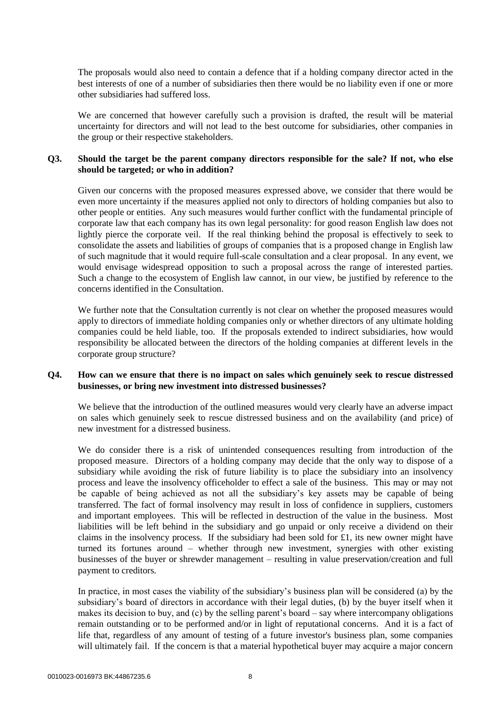The proposals would also need to contain a defence that if a holding company director acted in the best interests of one of a number of subsidiaries then there would be no liability even if one or more other subsidiaries had suffered loss.

We are concerned that however carefully such a provision is drafted, the result will be material uncertainty for directors and will not lead to the best outcome for subsidiaries, other companies in the group or their respective stakeholders.

## **Q3. Should the target be the parent company directors responsible for the sale? If not, who else should be targeted; or who in addition?**

Given our concerns with the proposed measures expressed above, we consider that there would be even more uncertainty if the measures applied not only to directors of holding companies but also to other people or entities. Any such measures would further conflict with the fundamental principle of corporate law that each company has its own legal personality: for good reason English law does not lightly pierce the corporate veil. If the real thinking behind the proposal is effectively to seek to consolidate the assets and liabilities of groups of companies that is a proposed change in English law of such magnitude that it would require full-scale consultation and a clear proposal. In any event, we would envisage widespread opposition to such a proposal across the range of interested parties. Such a change to the ecosystem of English law cannot, in our view, be justified by reference to the concerns identified in the Consultation.

We further note that the Consultation currently is not clear on whether the proposed measures would apply to directors of immediate holding companies only or whether directors of any ultimate holding companies could be held liable, too. If the proposals extended to indirect subsidiaries, how would responsibility be allocated between the directors of the holding companies at different levels in the corporate group structure?

## **Q4. How can we ensure that there is no impact on sales which genuinely seek to rescue distressed businesses, or bring new investment into distressed businesses?**

We believe that the introduction of the outlined measures would very clearly have an adverse impact on sales which genuinely seek to rescue distressed business and on the availability (and price) of new investment for a distressed business.

We do consider there is a risk of unintended consequences resulting from introduction of the proposed measure. Directors of a holding company may decide that the only way to dispose of a subsidiary while avoiding the risk of future liability is to place the subsidiary into an insolvency process and leave the insolvency officeholder to effect a sale of the business. This may or may not be capable of being achieved as not all the subsidiary's key assets may be capable of being transferred. The fact of formal insolvency may result in loss of confidence in suppliers, customers and important employees. This will be reflected in destruction of the value in the business. Most liabilities will be left behind in the subsidiary and go unpaid or only receive a dividend on their claims in the insolvency process. If the subsidiary had been sold for £1, its new owner might have turned its fortunes around – whether through new investment, synergies with other existing businesses of the buyer or shrewder management – resulting in value preservation/creation and full payment to creditors.

In practice, in most cases the viability of the subsidiary's business plan will be considered (a) by the subsidiary's board of directors in accordance with their legal duties, (b) by the buyer itself when it makes its decision to buy, and (c) by the selling parent's board – say where intercompany obligations remain outstanding or to be performed and/or in light of reputational concerns. And it is a fact of life that, regardless of any amount of testing of a future investor's business plan, some companies will ultimately fail. If the concern is that a material hypothetical buyer may acquire a major concern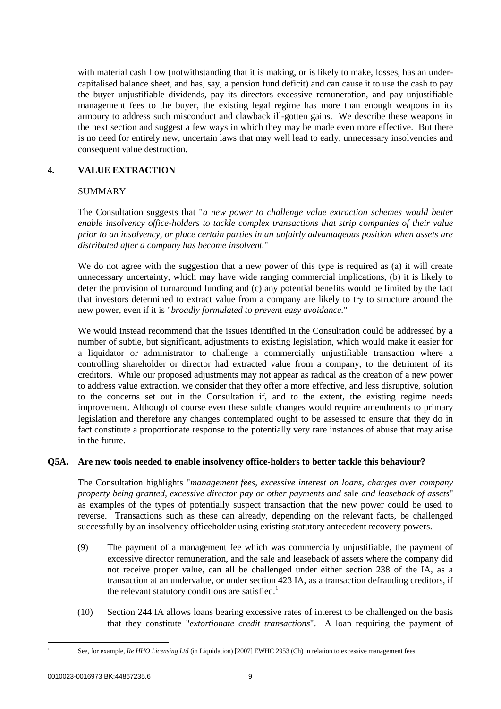with material cash flow (notwithstanding that it is making, or is likely to make, losses, has an undercapitalised balance sheet, and has, say, a pension fund deficit) and can cause it to use the cash to pay the buyer unjustifiable dividends, pay its directors excessive remuneration, and pay unjustifiable management fees to the buyer, the existing legal regime has more than enough weapons in its armoury to address such misconduct and clawback ill-gotten gains. We describe these weapons in the next section and suggest a few ways in which they may be made even more effective. But there is no need for entirely new, uncertain laws that may well lead to early, unnecessary insolvencies and consequent value destruction.

# **4. VALUE EXTRACTION**

## SUMMARY

The Consultation suggests that "*a new power to challenge value extraction schemes would better enable insolvency office-holders to tackle complex transactions that strip companies of their value prior to an insolvency, or place certain parties in an unfairly advantageous position when assets are distributed after a company has become insolvent.*"

We do not agree with the suggestion that a new power of this type is required as (a) it will create unnecessary uncertainty, which may have wide ranging commercial implications, (b) it is likely to deter the provision of turnaround funding and (c) any potential benefits would be limited by the fact that investors determined to extract value from a company are likely to try to structure around the new power, even if it is "*broadly formulated to prevent easy avoidance.*"

We would instead recommend that the issues identified in the Consultation could be addressed by a number of subtle, but significant, adjustments to existing legislation, which would make it easier for a liquidator or administrator to challenge a commercially unjustifiable transaction where a controlling shareholder or director had extracted value from a company, to the detriment of its creditors. While our proposed adjustments may not appear as radical as the creation of a new power to address value extraction, we consider that they offer a more effective, and less disruptive, solution to the concerns set out in the Consultation if, and to the extent, the existing regime needs improvement. Although of course even these subtle changes would require amendments to primary legislation and therefore any changes contemplated ought to be assessed to ensure that they do in fact constitute a proportionate response to the potentially very rare instances of abuse that may arise in the future.

## **Q5A. Are new tools needed to enable insolvency office-holders to better tackle this behaviour?**

The Consultation highlights "*management fees, excessive interest on loans, charges over company property being granted, excessive director pay or other payments and* sale *and leaseback of assets*" as examples of the types of potentially suspect transaction that the new power could be used to reverse. Transactions such as these can already, depending on the relevant facts, be challenged successfully by an insolvency officeholder using existing statutory antecedent recovery powers.

- (9) The payment of a management fee which was commercially unjustifiable, the payment of excessive director remuneration, and the sale and leaseback of assets where the company did not receive proper value, can all be challenged under either section 238 of the IA, as a transaction at an undervalue, or under section 423 IA, as a transaction defrauding creditors, if the relevant statutory conditions are satisfied.<sup>1</sup>
- (10) Section 244 IA allows loans bearing excessive rates of interest to be challenged on the basis that they constitute "*extortionate credit transactions*". A loan requiring the payment of

-1

See, for example, *Re HHO Licensing Ltd* (in Liquidation) [2007] EWHC 2953 (Ch) in relation to excessive management fees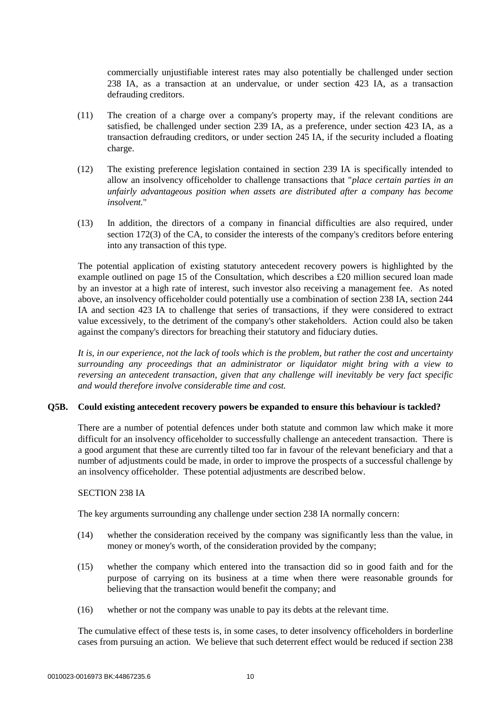commercially unjustifiable interest rates may also potentially be challenged under section 238 IA, as a transaction at an undervalue, or under section 423 IA, as a transaction defrauding creditors.

- (11) The creation of a charge over a company's property may, if the relevant conditions are satisfied, be challenged under section 239 IA, as a preference, under section 423 IA, as a transaction defrauding creditors, or under section 245 IA, if the security included a floating charge.
- (12) The existing preference legislation contained in section 239 IA is specifically intended to allow an insolvency officeholder to challenge transactions that "*place certain parties in an unfairly advantageous position when assets are distributed after a company has become insolvent.*"
- (13) In addition, the directors of a company in financial difficulties are also required, under section 172(3) of the CA, to consider the interests of the company's creditors before entering into any transaction of this type.

The potential application of existing statutory antecedent recovery powers is highlighted by the example outlined on page 15 of the Consultation, which describes a £20 million secured loan made by an investor at a high rate of interest, such investor also receiving a management fee. As noted above, an insolvency officeholder could potentially use a combination of section 238 IA, section 244 IA and section 423 IA to challenge that series of transactions, if they were considered to extract value excessively, to the detriment of the company's other stakeholders. Action could also be taken against the company's directors for breaching their statutory and fiduciary duties.

*It is, in our experience, not the lack of tools which is the problem, but rather the cost and uncertainty surrounding any proceedings that an administrator or liquidator might bring with a view to reversing an antecedent transaction, given that any challenge will inevitably be very fact specific and would therefore involve considerable time and cost.*

## **Q5B. Could existing antecedent recovery powers be expanded to ensure this behaviour is tackled?**

There are a number of potential defences under both statute and common law which make it more difficult for an insolvency officeholder to successfully challenge an antecedent transaction. There is a good argument that these are currently tilted too far in favour of the relevant beneficiary and that a number of adjustments could be made, in order to improve the prospects of a successful challenge by an insolvency officeholder. These potential adjustments are described below.

#### SECTION 238 IA

The key arguments surrounding any challenge under section 238 IA normally concern:

- (14) whether the consideration received by the company was significantly less than the value, in money or money's worth, of the consideration provided by the company;
- (15) whether the company which entered into the transaction did so in good faith and for the purpose of carrying on its business at a time when there were reasonable grounds for believing that the transaction would benefit the company; and
- (16) whether or not the company was unable to pay its debts at the relevant time.

The cumulative effect of these tests is, in some cases, to deter insolvency officeholders in borderline cases from pursuing an action. We believe that such deterrent effect would be reduced if section 238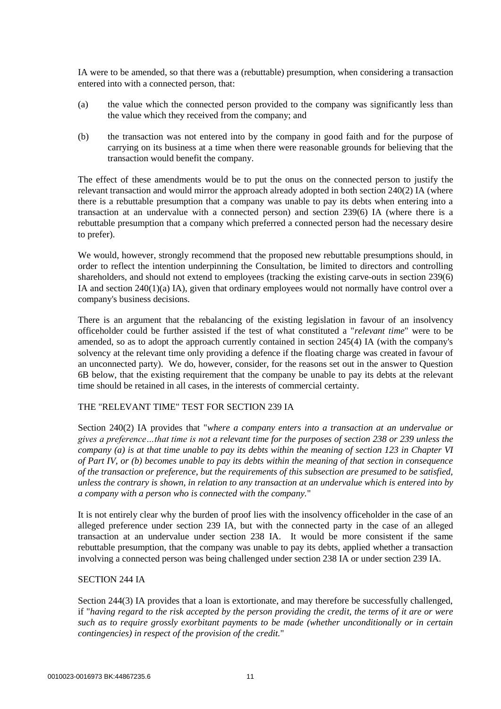IA were to be amended, so that there was a (rebuttable) presumption, when considering a transaction entered into with a connected person, that:

- (a) the value which the connected person provided to the company was significantly less than the value which they received from the company; and
- (b) the transaction was not entered into by the company in good faith and for the purpose of carrying on its business at a time when there were reasonable grounds for believing that the transaction would benefit the company.

The effect of these amendments would be to put the onus on the connected person to justify the relevant transaction and would mirror the approach already adopted in both section 240(2) IA (where there is a rebuttable presumption that a company was unable to pay its debts when entering into a transaction at an undervalue with a connected person) and section 239(6) IA (where there is a rebuttable presumption that a company which preferred a connected person had the necessary desire to prefer).

We would, however, strongly recommend that the proposed new rebuttable presumptions should, in order to reflect the intention underpinning the Consultation, be limited to directors and controlling shareholders, and should not extend to employees (tracking the existing carve-outs in section 239(6) IA and section 240(1)(a) IA), given that ordinary employees would not normally have control over a company's business decisions.

There is an argument that the rebalancing of the existing legislation in favour of an insolvency officeholder could be further assisted if the test of what constituted a "*relevant time*" were to be amended, so as to adopt the approach currently contained in section 245(4) IA (with the company's solvency at the relevant time only providing a defence if the floating charge was created in favour of an unconnected party). We do, however, consider, for the reasons set out in the answer to Question 6B below, that the existing requirement that the company be unable to pay its debts at the relevant time should be retained in all cases, in the interests of commercial certainty.

#### THE "RELEVANT TIME" TEST FOR SECTION 239 IA

Section 240(2) IA provides that "*where a company enters into a transaction at an undervalue or gives a preference…that time is not a relevant time for the purposes of [section 238 or 239](https://login.westlaw.co.uk/maf/wluk/app/document?src=doc&linktype=ref&context=46&crumb-action=replace&docguid=ID732BB71E44A11DA8D70A0E70A78ED65) unless the company (a) is at that time unable to pay its debts within the meaning of [section 123 in Chapter VI](https://login.westlaw.co.uk/maf/wluk/app/document?src=doc&linktype=ref&context=46&crumb-action=replace&docguid=ID6C309B0E44A11DA8D70A0E70A78ED65)  [of Part IV,](https://login.westlaw.co.uk/maf/wluk/app/document?src=doc&linktype=ref&context=46&crumb-action=replace&docguid=ID6C309B0E44A11DA8D70A0E70A78ED65) or (b) becomes unable to pay its debts within the meaning of that section in consequence of the transaction or preference, but the requirements of this subsection are presumed to be satisfied, unless the contrary is shown, in relation to any transaction at an undervalue which is entered into by a company with a person who is connected with the company.*"

It is not entirely clear why the burden of proof lies with the insolvency officeholder in the case of an alleged preference under section 239 IA, but with the connected party in the case of an alleged transaction at an undervalue under section 238 IA. It would be more consistent if the same rebuttable presumption, that the company was unable to pay its debts, applied whether a transaction involving a connected person was being challenged under section 238 IA or under section 239 IA.

#### SECTION 244 IA

Section 244(3) IA provides that a loan is extortionate, and may therefore be successfully challenged, if "*having regard to the risk accepted by the person providing the credit, the terms of it are or were such as to require grossly exorbitant payments to be made (whether unconditionally or in certain contingencies) in respect of the provision of the credit.*"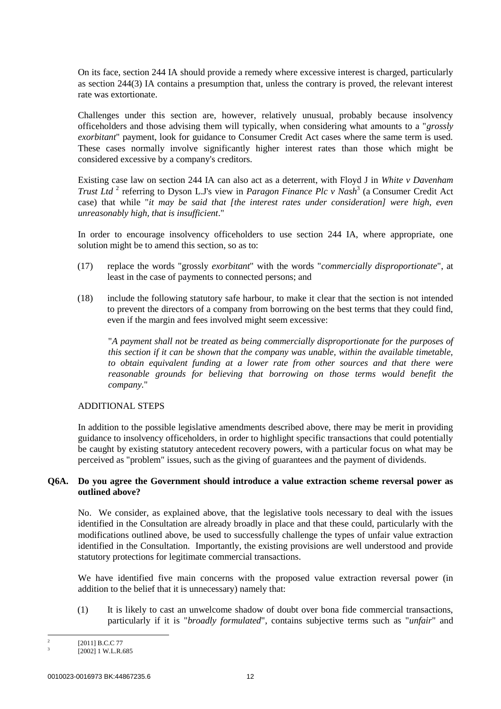On its face, section 244 IA should provide a remedy where excessive interest is charged, particularly as section 244(3) IA contains a presumption that, unless the contrary is proved, the relevant interest rate was extortionate.

Challenges under this section are, however, relatively unusual, probably because insolvency officeholders and those advising them will typically, when considering what amounts to a "*grossly exorbitant*" payment, look for guidance to Consumer Credit Act cases where the same term is used. These cases normally involve significantly higher interest rates than those which might be considered excessive by a company's creditors.

Existing case law on section 244 IA can also act as a deterrent, with Floyd J in *White v Davenham Trust Ltd*<sup>2</sup> referring to Dyson L.J's view in *Paragon Finance Plc v Nash*<sup>3</sup> (a Consumer Credit Act case) that while "*it may be said that [the interest rates under consideration] were high, even unreasonably high, that is insufficient*."

In order to encourage insolvency officeholders to use section 244 IA, where appropriate, one solution might be to amend this section, so as to:

- (17) replace the words "grossly *exorbitant*" with the words "*commercially disproportionate*", at least in the case of payments to connected persons; and
- (18) include the following statutory safe harbour, to make it clear that the section is not intended to prevent the directors of a company from borrowing on the best terms that they could find, even if the margin and fees involved might seem excessive:

"*A payment shall not be treated as being commercially disproportionate for the purposes of this section if it can be shown that the company was unable, within the available timetable, to obtain equivalent funding at a lower rate from other sources and that there were reasonable grounds for believing that borrowing on those terms would benefit the company.*"

## ADDITIONAL STEPS

In addition to the possible legislative amendments described above, there may be merit in providing guidance to insolvency officeholders, in order to highlight specific transactions that could potentially be caught by existing statutory antecedent recovery powers, with a particular focus on what may be perceived as "problem" issues, such as the giving of guarantees and the payment of dividends.

## **Q6A. Do you agree the Government should introduce a value extraction scheme reversal power as outlined above?**

No. We consider, as explained above, that the legislative tools necessary to deal with the issues identified in the Consultation are already broadly in place and that these could, particularly with the modifications outlined above, be used to successfully challenge the types of unfair value extraction identified in the Consultation. Importantly, the existing provisions are well understood and provide statutory protections for legitimate commercial transactions.

We have identified five main concerns with the proposed value extraction reversal power (in addition to the belief that it is unnecessary) namely that:

(1) It is likely to cast an unwelcome shadow of doubt over bona fide commercial transactions, particularly if it is "*broadly formulated*", contains subjective terms such as "*unfair*" and

 $\frac{1}{2}$ [2011] B.C.C 77 3

<sup>[2002] 1</sup> W.L.R.685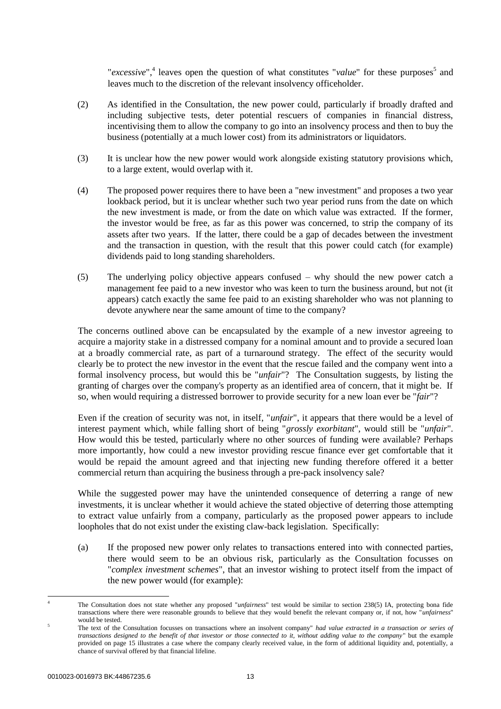"*excessive*",<sup>4</sup> leaves open the question of what constitutes "*value*" for these purposes<sup>5</sup> and leaves much to the discretion of the relevant insolvency officeholder.

- (2) As identified in the Consultation, the new power could, particularly if broadly drafted and including subjective tests, deter potential rescuers of companies in financial distress, incentivising them to allow the company to go into an insolvency process and then to buy the business (potentially at a much lower cost) from its administrators or liquidators.
- (3) It is unclear how the new power would work alongside existing statutory provisions which, to a large extent, would overlap with it.
- (4) The proposed power requires there to have been a "new investment" and proposes a two year lookback period, but it is unclear whether such two year period runs from the date on which the new investment is made, or from the date on which value was extracted. If the former, the investor would be free, as far as this power was concerned, to strip the company of its assets after two years. If the latter, there could be a gap of decades between the investment and the transaction in question, with the result that this power could catch (for example) dividends paid to long standing shareholders.
- (5) The underlying policy objective appears confused why should the new power catch a management fee paid to a new investor who was keen to turn the business around, but not (it appears) catch exactly the same fee paid to an existing shareholder who was not planning to devote anywhere near the same amount of time to the company?

The concerns outlined above can be encapsulated by the example of a new investor agreeing to acquire a majority stake in a distressed company for a nominal amount and to provide a secured loan at a broadly commercial rate, as part of a turnaround strategy. The effect of the security would clearly be to protect the new investor in the event that the rescue failed and the company went into a formal insolvency process, but would this be "*unfair*"? The Consultation suggests, by listing the granting of charges over the company's property as an identified area of concern, that it might be. If so, when would requiring a distressed borrower to provide security for a new loan ever be "*fair*"?

Even if the creation of security was not, in itself, "*unfair*", it appears that there would be a level of interest payment which, while falling short of being "*grossly exorbitant*", would still be "*unfair*". How would this be tested, particularly where no other sources of funding were available? Perhaps more importantly, how could a new investor providing rescue finance ever get comfortable that it would be repaid the amount agreed and that injecting new funding therefore offered it a better commercial return than acquiring the business through a pre-pack insolvency sale?

While the suggested power may have the unintended consequence of deterring a range of new investments, it is unclear whether it would achieve the stated objective of deterring those attempting to extract value unfairly from a company, particularly as the proposed power appears to include loopholes that do not exist under the existing claw-back legislation. Specifically:

- (a) If the proposed new power only relates to transactions entered into with connected parties, there would seem to be an obvious risk, particularly as the Consultation focusses on "*complex investment schemes*", that an investor wishing to protect itself from the impact of the new power would (for example):
- 1 <sup>4</sup> The Consultation does not state whether any proposed "*unfairness*" test would be similar to section 238(5) IA, protecting bona fide transactions where there were reasonable grounds to believe that they would benefit the relevant company or, if not, how "*unfairness*" would be tested.

<sup>5</sup> The text of the Consultation focusses on transactions where an insolvent company" *had value extracted in a transaction or series of transactions designed to the benefit of that investor or those connected to it, without adding value to the company*" but the example provided on page 15 illustrates a case where the company clearly received value, in the form of additional liquidity and, potentially, a chance of survival offered by that financial lifeline.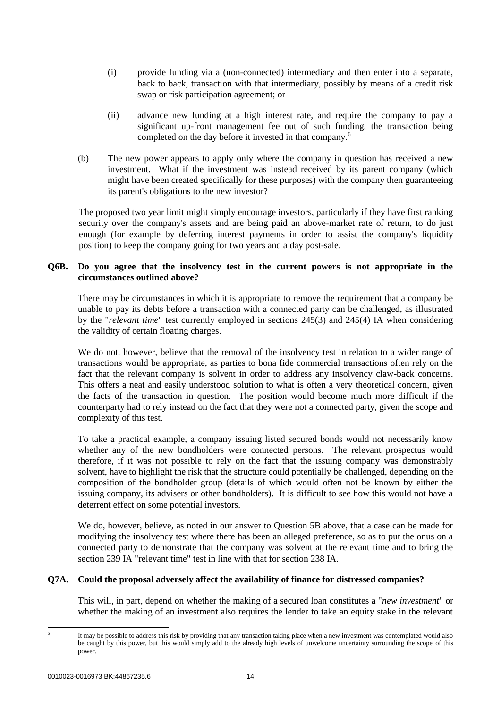- (i) provide funding via a (non-connected) intermediary and then enter into a separate, back to back, transaction with that intermediary, possibly by means of a credit risk swap or risk participation agreement; or
- (ii) advance new funding at a high interest rate, and require the company to pay a significant up-front management fee out of such funding, the transaction being completed on the day before it invested in that company.<sup>6</sup>
- (b) The new power appears to apply only where the company in question has received a new investment. What if the investment was instead received by its parent company (which might have been created specifically for these purposes) with the company then guaranteeing its parent's obligations to the new investor?

The proposed two year limit might simply encourage investors, particularly if they have first ranking security over the company's assets and are being paid an above-market rate of return, to do just enough (for example by deferring interest payments in order to assist the company's liquidity position) to keep the company going for two years and a day post-sale.

# **Q6B. Do you agree that the insolvency test in the current powers is not appropriate in the circumstances outlined above?**

There may be circumstances in which it is appropriate to remove the requirement that a company be unable to pay its debts before a transaction with a connected party can be challenged, as illustrated by the "*relevant time*" test currently employed in sections 245(3) and 245(4) IA when considering the validity of certain floating charges.

We do not, however, believe that the removal of the insolvency test in relation to a wider range of transactions would be appropriate, as parties to bona fide commercial transactions often rely on the fact that the relevant company is solvent in order to address any insolvency claw-back concerns. This offers a neat and easily understood solution to what is often a very theoretical concern, given the facts of the transaction in question. The position would become much more difficult if the counterparty had to rely instead on the fact that they were not a connected party, given the scope and complexity of this test.

To take a practical example, a company issuing listed secured bonds would not necessarily know whether any of the new bondholders were connected persons. The relevant prospectus would therefore, if it was not possible to rely on the fact that the issuing company was demonstrably solvent, have to highlight the risk that the structure could potentially be challenged, depending on the composition of the bondholder group (details of which would often not be known by either the issuing company, its advisers or other bondholders). It is difficult to see how this would not have a deterrent effect on some potential investors.

We do, however, believe, as noted in our answer to Question 5B above, that a case can be made for modifying the insolvency test where there has been an alleged preference, so as to put the onus on a connected party to demonstrate that the company was solvent at the relevant time and to bring the section 239 IA "relevant time" test in line with that for section 238 IA.

## **Q7A. Could the proposal adversely affect the availability of finance for distressed companies?**

This will, in part, depend on whether the making of a secured loan constitutes a "*new investment*" or whether the making of an investment also requires the lender to take an equity stake in the relevant

-

<sup>6</sup> It may be possible to address this risk by providing that any transaction taking place when a new investment was contemplated would also be caught by this power, but this would simply add to the already high levels of unwelcome uncertainty surrounding the scope of this power.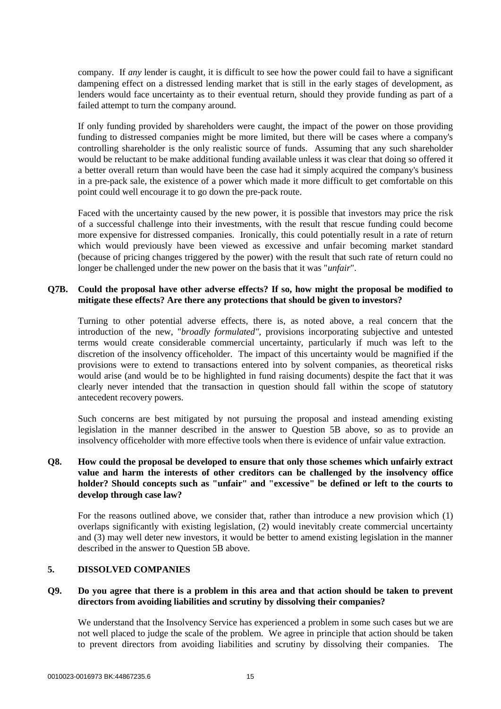company. If *any* lender is caught, it is difficult to see how the power could fail to have a significant dampening effect on a distressed lending market that is still in the early stages of development, as lenders would face uncertainty as to their eventual return, should they provide funding as part of a failed attempt to turn the company around.

If only funding provided by shareholders were caught, the impact of the power on those providing funding to distressed companies might be more limited, but there will be cases where a company's controlling shareholder is the only realistic source of funds. Assuming that any such shareholder would be reluctant to be make additional funding available unless it was clear that doing so offered it a better overall return than would have been the case had it simply acquired the company's business in a pre-pack sale, the existence of a power which made it more difficult to get comfortable on this point could well encourage it to go down the pre-pack route.

Faced with the uncertainty caused by the new power, it is possible that investors may price the risk of a successful challenge into their investments, with the result that rescue funding could become more expensive for distressed companies. Ironically, this could potentially result in a rate of return which would previously have been viewed as excessive and unfair becoming market standard (because of pricing changes triggered by the power) with the result that such rate of return could no longer be challenged under the new power on the basis that it was "*unfair*".

## **Q7B. Could the proposal have other adverse effects? If so, how might the proposal be modified to mitigate these effects? Are there any protections that should be given to investors?**

Turning to other potential adverse effects, there is, as noted above, a real concern that the introduction of the new, "*broadly formulated",* provisions incorporating subjective and untested terms would create considerable commercial uncertainty, particularly if much was left to the discretion of the insolvency officeholder. The impact of this uncertainty would be magnified if the provisions were to extend to transactions entered into by solvent companies, as theoretical risks would arise (and would be to be highlighted in fund raising documents) despite the fact that it was clearly never intended that the transaction in question should fall within the scope of statutory antecedent recovery powers.

Such concerns are best mitigated by not pursuing the proposal and instead amending existing legislation in the manner described in the answer to Question 5B above, so as to provide an insolvency officeholder with more effective tools when there is evidence of unfair value extraction.

# **Q8. How could the proposal be developed to ensure that only those schemes which unfairly extract value and harm the interests of other creditors can be challenged by the insolvency office holder? Should concepts such as "unfair" and "excessive" be defined or left to the courts to develop through case law?**

For the reasons outlined above, we consider that, rather than introduce a new provision which (1) overlaps significantly with existing legislation, (2) would inevitably create commercial uncertainty and (3) may well deter new investors, it would be better to amend existing legislation in the manner described in the answer to Question 5B above.

## **5. DISSOLVED COMPANIES**

#### **Q9. Do you agree that there is a problem in this area and that action should be taken to prevent directors from avoiding liabilities and scrutiny by dissolving their companies?**

We understand that the Insolvency Service has experienced a problem in some such cases but we are not well placed to judge the scale of the problem. We agree in principle that action should be taken to prevent directors from avoiding liabilities and scrutiny by dissolving their companies. The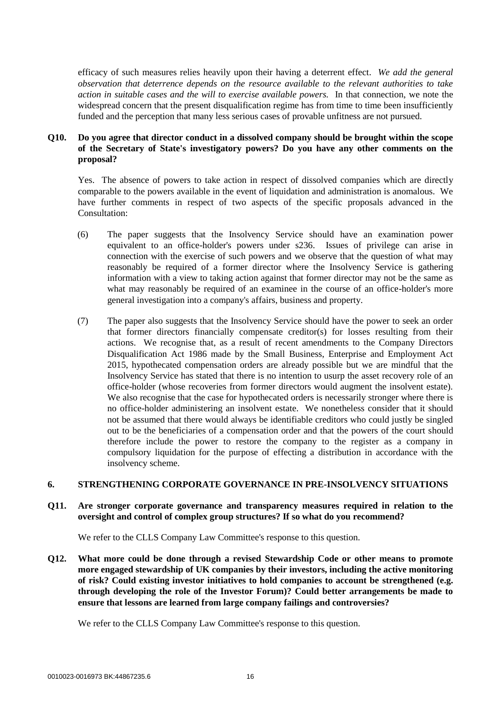efficacy of such measures relies heavily upon their having a deterrent effect. *We add the general observation that deterrence depends on the resource available to the relevant authorities to take action in suitable cases and the will to exercise available powers.* In that connection, we note the widespread concern that the present disqualification regime has from time to time been insufficiently funded and the perception that many less serious cases of provable unfitness are not pursued.

# **Q10. Do you agree that director conduct in a dissolved company should be brought within the scope of the Secretary of State's investigatory powers? Do you have any other comments on the proposal?**

Yes. The absence of powers to take action in respect of dissolved companies which are directly comparable to the powers available in the event of liquidation and administration is anomalous. We have further comments in respect of two aspects of the specific proposals advanced in the Consultation:

- (6) The paper suggests that the Insolvency Service should have an examination power equivalent to an office-holder's powers under s236. Issues of privilege can arise in connection with the exercise of such powers and we observe that the question of what may reasonably be required of a former director where the Insolvency Service is gathering information with a view to taking action against that former director may not be the same as what may reasonably be required of an examinee in the course of an office-holder's more general investigation into a company's affairs, business and property.
- (7) The paper also suggests that the Insolvency Service should have the power to seek an order that former directors financially compensate creditor(s) for losses resulting from their actions. We recognise that, as a result of recent amendments to the Company Directors Disqualification Act 1986 made by the Small Business, Enterprise and Employment Act 2015, hypothecated compensation orders are already possible but we are mindful that the Insolvency Service has stated that there is no intention to usurp the asset recovery role of an office-holder (whose recoveries from former directors would augment the insolvent estate). We also recognise that the case for hypothecated orders is necessarily stronger where there is no office-holder administering an insolvent estate. We nonetheless consider that it should not be assumed that there would always be identifiable creditors who could justly be singled out to be the beneficiaries of a compensation order and that the powers of the court should therefore include the power to restore the company to the register as a company in compulsory liquidation for the purpose of effecting a distribution in accordance with the insolvency scheme.

## **6. STRENGTHENING CORPORATE GOVERNANCE IN PRE-INSOLVENCY SITUATIONS**

## **Q11. Are stronger corporate governance and transparency measures required in relation to the oversight and control of complex group structures? If so what do you recommend?**

We refer to the CLLS Company Law Committee's response to this question.

**Q12. What more could be done through a revised Stewardship Code or other means to promote more engaged stewardship of UK companies by their investors, including the active monitoring of risk? Could existing investor initiatives to hold companies to account be strengthened (e.g. through developing the role of the Investor Forum)? Could better arrangements be made to ensure that lessons are learned from large company failings and controversies?**

We refer to the CLLS Company Law Committee's response to this question.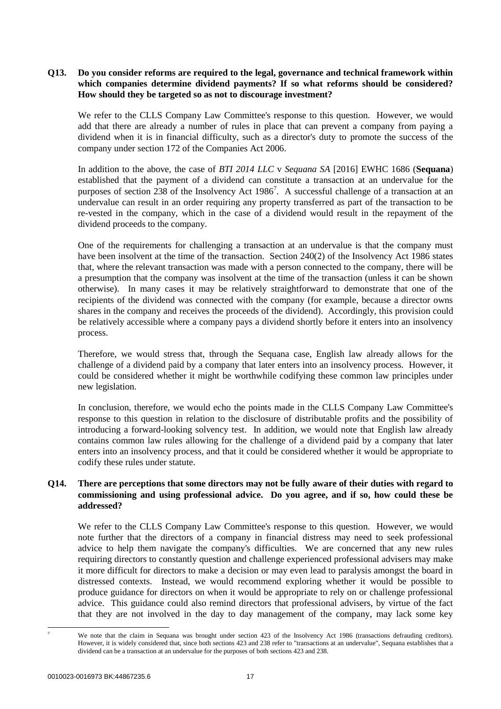**Q13. Do you consider reforms are required to the legal, governance and technical framework within which companies determine dividend payments? If so what reforms should be considered? How should they be targeted so as not to discourage investment?**

We refer to the CLLS Company Law Committee's response to this question. However, we would add that there are already a number of rules in place that can prevent a company from paying a dividend when it is in financial difficulty, such as a director's duty to promote the success of the company under section 172 of the Companies Act 2006.

In addition to the above, the case of *BTI 2014 LLC* v *Sequana SA* [2016] EWHC 1686 (**Sequana**) established that the payment of a dividend can constitute a transaction at an undervalue for the purposes of section 238 of the Insolvency Act  $1986^7$ . A successful challenge of a transaction at an undervalue can result in an order requiring any property transferred as part of the transaction to be re-vested in the company, which in the case of a dividend would result in the repayment of the dividend proceeds to the company.

One of the requirements for challenging a transaction at an undervalue is that the company must have been insolvent at the time of the transaction. Section 240(2) of the Insolvency Act 1986 states that, where the relevant transaction was made with a person connected to the company, there will be a presumption that the company was insolvent at the time of the transaction (unless it can be shown otherwise). In many cases it may be relatively straightforward to demonstrate that one of the recipients of the dividend was connected with the company (for example, because a director owns shares in the company and receives the proceeds of the dividend). Accordingly, this provision could be relatively accessible where a company pays a dividend shortly before it enters into an insolvency process.

Therefore, we would stress that, through the Sequana case, English law already allows for the challenge of a dividend paid by a company that later enters into an insolvency process. However, it could be considered whether it might be worthwhile codifying these common law principles under new legislation.

In conclusion, therefore, we would echo the points made in the CLLS Company Law Committee's response to this question in relation to the disclosure of distributable profits and the possibility of introducing a forward-looking solvency test. In addition, we would note that English law already contains common law rules allowing for the challenge of a dividend paid by a company that later enters into an insolvency process, and that it could be considered whether it would be appropriate to codify these rules under statute.

# **Q14. There are perceptions that some directors may not be fully aware of their duties with regard to commissioning and using professional advice. Do you agree, and if so, how could these be addressed?**

We refer to the CLLS Company Law Committee's response to this question. However, we would note further that the directors of a company in financial distress may need to seek professional advice to help them navigate the company's difficulties. We are concerned that any new rules requiring directors to constantly question and challenge experienced professional advisers may make it more difficult for directors to make a decision or may even lead to paralysis amongst the board in distressed contexts. Instead, we would recommend exploring whether it would be possible to produce guidance for directors on when it would be appropriate to rely on or challenge professional advice. This guidance could also remind directors that professional advisers, by virtue of the fact that they are not involved in the day to day management of the company, may lack some key

-

We note that the claim in Sequana was brought under section 423 of the Insolvency Act 1986 (transactions defrauding creditors). However, it is widely considered that, since both sections 423 and 238 refer to "transactions at an undervalue", Sequana establishes that a dividend can be a transaction at an undervalue for the purposes of both sections 423 and 238.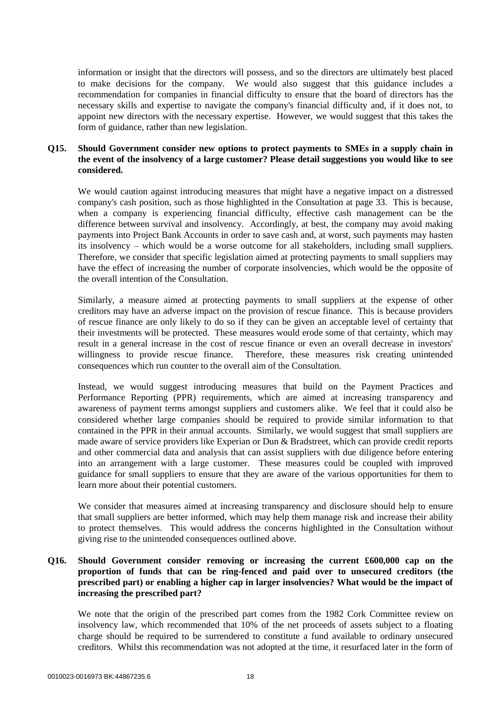information or insight that the directors will possess, and so the directors are ultimately best placed to make decisions for the company. We would also suggest that this guidance includes a recommendation for companies in financial difficulty to ensure that the board of directors has the necessary skills and expertise to navigate the company's financial difficulty and, if it does not, to appoint new directors with the necessary expertise. However, we would suggest that this takes the form of guidance, rather than new legislation.

# **Q15. Should Government consider new options to protect payments to SMEs in a supply chain in the event of the insolvency of a large customer? Please detail suggestions you would like to see considered.**

We would caution against introducing measures that might have a negative impact on a distressed company's cash position, such as those highlighted in the Consultation at page 33. This is because, when a company is experiencing financial difficulty, effective cash management can be the difference between survival and insolvency. Accordingly, at best, the company may avoid making payments into Project Bank Accounts in order to save cash and, at worst, such payments may hasten its insolvency – which would be a worse outcome for all stakeholders, including small suppliers. Therefore, we consider that specific legislation aimed at protecting payments to small suppliers may have the effect of increasing the number of corporate insolvencies, which would be the opposite of the overall intention of the Consultation.

Similarly, a measure aimed at protecting payments to small suppliers at the expense of other creditors may have an adverse impact on the provision of rescue finance. This is because providers of rescue finance are only likely to do so if they can be given an acceptable level of certainty that their investments will be protected. These measures would erode some of that certainty, which may result in a general increase in the cost of rescue finance or even an overall decrease in investors' willingness to provide rescue finance. Therefore, these measures risk creating unintended consequences which run counter to the overall aim of the Consultation.

Instead, we would suggest introducing measures that build on the Payment Practices and Performance Reporting (PPR) requirements, which are aimed at increasing transparency and awareness of payment terms amongst suppliers and customers alike. We feel that it could also be considered whether large companies should be required to provide similar information to that contained in the PPR in their annual accounts. Similarly, we would suggest that small suppliers are made aware of service providers like Experian or Dun & Bradstreet, which can provide credit reports and other commercial data and analysis that can assist suppliers with due diligence before entering into an arrangement with a large customer. These measures could be coupled with improved guidance for small suppliers to ensure that they are aware of the various opportunities for them to learn more about their potential customers.

We consider that measures aimed at increasing transparency and disclosure should help to ensure that small suppliers are better informed, which may help them manage risk and increase their ability to protect themselves. This would address the concerns highlighted in the Consultation without giving rise to the unintended consequences outlined above.

# **Q16. Should Government consider removing or increasing the current £600,000 cap on the proportion of funds that can be ring-fenced and paid over to unsecured creditors (the prescribed part) or enabling a higher cap in larger insolvencies? What would be the impact of increasing the prescribed part?**

We note that the origin of the prescribed part comes from the 1982 Cork Committee review on insolvency law, which recommended that 10% of the net proceeds of assets subject to a floating charge should be required to be surrendered to constitute a fund available to ordinary unsecured creditors. Whilst this recommendation was not adopted at the time, it resurfaced later in the form of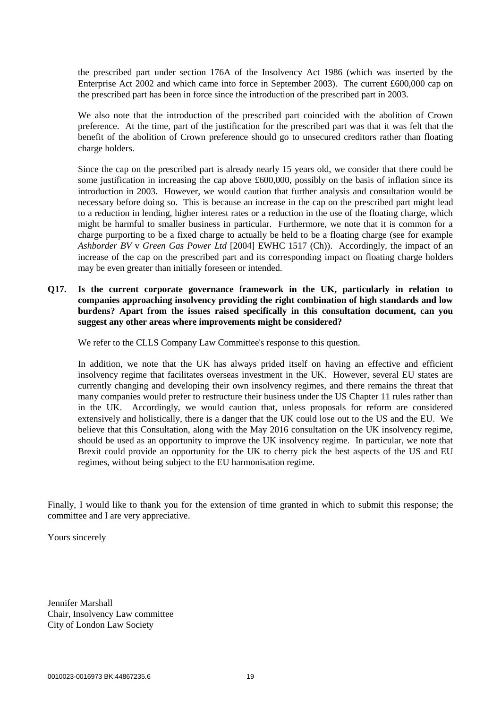the prescribed part under section 176A of the Insolvency Act 1986 (which was inserted by the Enterprise Act 2002 and which came into force in September 2003). The current £600,000 cap on the prescribed part has been in force since the introduction of the prescribed part in 2003.

We also note that the introduction of the prescribed part coincided with the abolition of Crown preference. At the time, part of the justification for the prescribed part was that it was felt that the benefit of the abolition of Crown preference should go to unsecured creditors rather than floating charge holders.

Since the cap on the prescribed part is already nearly 15 years old, we consider that there could be some justification in increasing the cap above £600,000, possibly on the basis of inflation since its introduction in 2003. However, we would caution that further analysis and consultation would be necessary before doing so. This is because an increase in the cap on the prescribed part might lead to a reduction in lending, higher interest rates or a reduction in the use of the floating charge, which might be harmful to smaller business in particular. Furthermore, we note that it is common for a charge purporting to be a fixed charge to actually be held to be a floating charge (see for example *Ashborder BV* v *Green Gas Power Ltd* [2004] EWHC 1517 (Ch)). Accordingly, the impact of an increase of the cap on the prescribed part and its corresponding impact on floating charge holders may be even greater than initially foreseen or intended.

**Q17. Is the current corporate governance framework in the UK, particularly in relation to companies approaching insolvency providing the right combination of high standards and low burdens? Apart from the issues raised specifically in this consultation document, can you suggest any other areas where improvements might be considered?**

We refer to the CLLS Company Law Committee's response to this question.

In addition, we note that the UK has always prided itself on having an effective and efficient insolvency regime that facilitates overseas investment in the UK. However, several EU states are currently changing and developing their own insolvency regimes, and there remains the threat that many companies would prefer to restructure their business under the US Chapter 11 rules rather than in the UK. Accordingly, we would caution that, unless proposals for reform are considered extensively and holistically, there is a danger that the UK could lose out to the US and the EU. We believe that this Consultation, along with the May 2016 consultation on the UK insolvency regime, should be used as an opportunity to improve the UK insolvency regime. In particular, we note that Brexit could provide an opportunity for the UK to cherry pick the best aspects of the US and EU regimes, without being subject to the EU harmonisation regime.

Finally, I would like to thank you for the extension of time granted in which to submit this response; the committee and I are very appreciative.

Yours sincerely

Jennifer Marshall Chair, Insolvency Law committee City of London Law Society